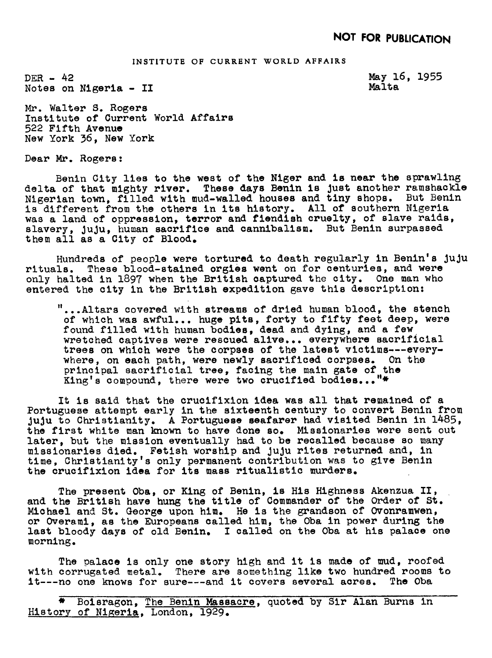## INSTITUTE OF CURRENT WORLD AFFAIRS

DER- 42 Notes on Nigeria - II May 16, 1955 Malta

Mr. Walter S. Rogers Institute of Current World Affairs 522 Fifth Avenue New York 36, New York

Dear Mr. Rogers

Benin City lies to the west of the Niger and is near the sprawling delta of that mighty river. These days Benin is Just another ramshackle Nigerian town, filled with mud-walled houses and tiny shops. But Benin is different from the others in its history. All of southern Nigeria was a land of oppression, terror and fiendish cruelty, of slave raids, slavery, juju, human sacrifice and cannibalism. But Benin surpassed them all as a City of Blood.

Hundreds of people were tortured to death regularly in Benin's juju<br>rituals. These blood-stained orgies went on for centuries, and were These blood-stained orgies went on for centuries, and were only halted in 1897 when the British captured the city. One man who entered the city in the British expedition gave this description:

"...Altars covered with streams of dried human blood, the stench of which was awful... huge pits, forty to fifty feet deep, were found filled with human bodies, dead and dying, and a few wretched captives were rescued alive.., everywhere sacrificial trees on which were the corpses of the latest victims---everywhere, on each path, were newly sacrificed corpses. On the principal sacrificial tree, facing the main gate of the King's compound, there were two crucified bodies..."\*

It is said that the crucifixion idea was all that remained of a Portuguese attempt early in the sixteenth century to convert Benin from JuJu to Christianity. A Portuguese seafarer had visited Benin in 1485, the first white man knom to have done so. Missionaries were sent out later, but the mission eventually had to be recalled because so many missiouarles died. Fetish worship and JuJu rites returned and, in time, Christianity's only permanent contribution was to give Benin the crucifixion idea for its mass ritualistic murders.

The present Oba, or King of Benin, is His Highness Akenzua II, and the British have hung the title of Commander of the Order of St. Michael and St. George upon him. He is the grandson of Ovonramwen, or Overami, as the Europeans called him, the Oba in power during the last bloody days of old Benin. I called on the Oba at his palace one morning.

The palace is only one story high and it is made of mud, roofed with corrugated metal. There are something like two hundred rooms to it---no one knows for sure---and it covers several acres. The Oba

\* Boisragon, The Benin Massacre, quoted by Sir Alan Burns in History qf Nigeria, London, 1929.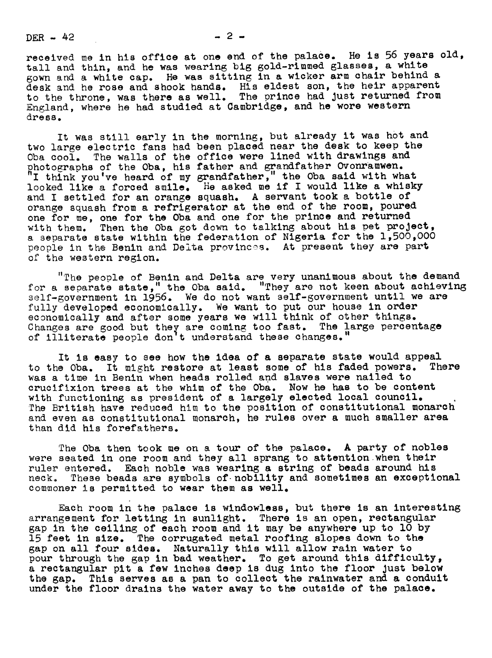$DER - 42$   $- 2 -$ 

received me in his office at one end of the palace. He is 56 years old, tall and thin, and he was wearing big gold-rimmed glasses, a white gown and a white cap. He was sitting in a wicker arm chair behind a desk and he rose and shook hands. His eldest son, the heir apparent to the throne, was there as well. The prince had Just returned from England, where he had studied at Cambridge, and he wore weste dress.

It was still early in the morning, but already it was hot and two large electric fans had been placed near the desk to keep the Oba cool. The walls of the office were lined with drawings and photographs of the Oba, his father and grandfather Ovonramwen.<br>"I think you ve heard of my grandfather," the Oba said with what looked like a forced smile. He asked me if <sup>I</sup> would like a whisky and <sup>I</sup> settled for an orange squash. A servant took a bottle of orange squash from a refrigerator at the end of the room, poured one for me, one for the Oba and one for the prince and returned with them. Then the Oba got down to talking about his pet project, a separate state within the federation of Nigeria for the 1,500,000 people in the Benin and Delta provinces. At present they are part of the western region.

"The people of Benin and Delta are very unanimous about the demand for a separate state," the Oba said. "They are not keen about achieving self-government in 1956. We do not want self-government until we are fully developed economically. We want to put our house in order economically and after some years we will think of other things. Changes are good but they are coming too fast. The large percentage<br>of illiterate people don't understand these changes."

It is easy to see how the idea of a separate state would appeal to the Oba. It might restore at least some of his faded powers. There was a time in Benin when heads rolled and slaves were nailed to crucifixion trees at the whim of the Oba. Now he has to be content with functioning as president of a largely elected local council. The British have reduced him to the position of constitutional monarch and even as constitutional monarch, he rules over a much smaller area than did his forefathers.

The Oba then took me on a tour of the palace. A party of nobles were seated in one room and they all sprang to attention when their ruler entered. Each noble was wearing a string of beads around his neck. These beads are symbols of nobility and sometimes an exception These beads are symbols of nobility and sometimes an exceptional commoner is permitted to wear them as well.

Each room in the palace is windowless, but there is an interesting arrangement for letting in sunlight. There is an open, rectangular gap in the ceiling of each room and it may be anywhere up to lO by 15 feet in size. The corrugated metal roofing slopes down to the gap on all four sides. Naturally this will allow rain water to pour through the gap in bad weather. To get around this difficulty, a rectangular pit a few inches deep is dug into the floor Just below the gap. This serves as a pan to collect the rainwater and a conduit under the floor drains the water away to the outside of the palace.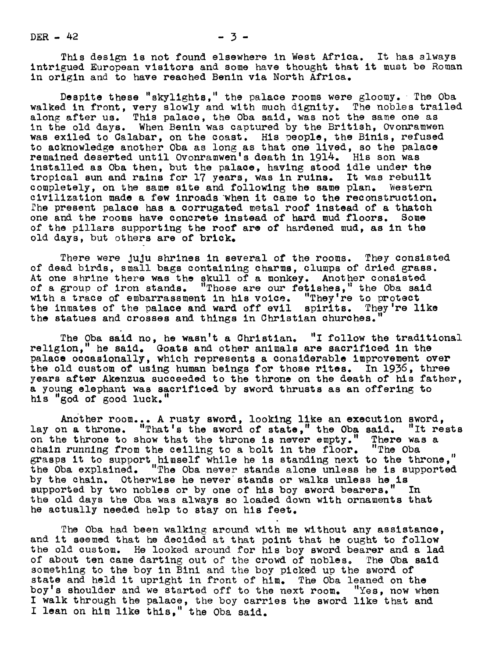$DER - 42$   $-3$   $-3$ 

This design is not found elsewhere in West Africa. It has slways intrigued European visitors and some have thought that it must be Roman in origin and to have reached Benin via North Africa.

Despite these "skylights," the palace rooms were gloomy. The Oba walked in front, very slowly and with much dignity. The nobles trailed along after us. This palace, the Oba said, was not the same one as in the old days. When Benin was captured by the British, Ovonramweu was exiled to Galabar, on the coast. His people, the Binis, refused to acknowledge another Oba as long as that one lived, so the palace remained deserted until Ovonramwen's death in 1914. His son was installed as Oba then, but the palace, having stood idle under the tropical sun and rains for 17 years, was in ruins. It was rebuilt completely, on the same site and following the same plan. Western civilization made a few inroads "when it came to the reconstruction. The present palace has a corrugated metal roof instead of a thatch one and the rooms have concrete instead of hard mud floors. Some of the pillars supporting the roof are of hardened mud, as in the old days, but others are of brick.

There were JuJu shrines in several of the rooms. They couslsted of dead birds, small bags containing charms, clumps of dried grass. At one shrine there was the skull of a monkey. Another consisted of a group of iron stands. "Those are our fetishes," the Oba said "Those are our fetishes," the Oba said with a trace of embarrassment in his voice. "They're to protect the inmates of the palace and ward off evil spirits. They're like the statues and crosses and things in Christian churches.

The Oba said no, he wasn't a Christian. "I follow the traditional religion," he said. Goats and other animals are sacrificed in the palace occasionally, which represents a considerable improvement over the old custom of using human beings for those rites. In 1936, three years after Akenzua succeeded to the throne on the death of his father, a young elephant was sacrificed by sword thrusts as an offering to his "god of good luck."

Another room... A rusty sword, looking like an execution sword, lay on a throne. "That's the sword of state," the Oba said. "It rest on the throne to show that the throne is never empty." There was a chain running from the ceiling to a bolt in the floor. "The Oba grasps it to support himself while he is standing next to the throne," the Oba explained. "The Oba never stands alone unless he is supported by the chain. Otherwise he never stands or walks unless he is supported by two nobles or by one of his boy sword bearers. the old days the Oba was always so loaded dovn with ornaments that he actually needed help to stay on his feet.

The Oba had been walking around with me without any assistance, and it seemed that he decided at that point that he ought to follow the old custom. He looked around for his boy sword bearer and a lad of about ten came darting out of the crowd of nobles. The Oba said something to the boy in Bini and the boy picked up the sword of state and held it upright in front of him. The Oba leaned on the boy's shoulder and we started off to the next room. "Yes, now when I walk through the palace, the boy carries the sword like that and I lean on him like this," the Oba said.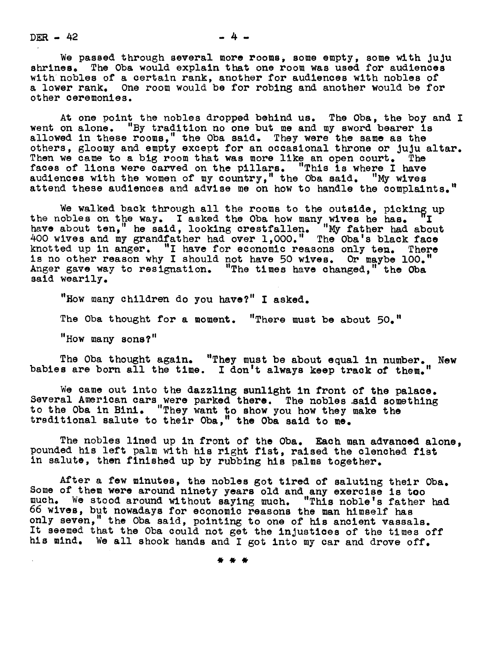$DER - 42$   $-4$   $-4$ 

We passed through several more rooms, some empty, some with juju shrines. The Oba would explain that one room was used for audiences with nobles of a certain rank, another for audiences with nobles of a lower rank. One room would be for robing and another would be for ot her ceremonies.

At one point the nobles dropped behind us. The Oba, the boy and I went on alone. "By tradition no one but me and my sword bearer is allowed in these rooms." the Oba said. They were the same as the others, 81oomy and empty except for an occasional throne or JuJu altar. Then we came to a big room that was more like an open court. The faces of lions were carved on the pillars. "This is where I have audiences with the women of my country, " the Oba said . "My wives attend these audiences and advise me on how to handle the complaints."

We walked back through all the rooms to the outside, picking up the nobles on the way. I asked the Oba how many wives he has. II have about ten," he said, looking crestfallen. "My father had about 400 wives and my grandfather had over 1,O00." The Oba's black face knotted up in anger. "I have for economic reasons only ten. There is no other reason why I should not have 50 wives. Or maybe 100." Anger gave way to resignation. "The times have changed," the Oba said wearily.

"How many children do you have?" I asked. The Oba thought for a moment. "There must be about 50." "How many sons?"

The Oba thought again. "They must be about equal in number. New babies are born all the time. I don't always keep track of them."

We came out into the dazzling sunlight in front of the palace. Several American cars were parked there. The nobles .said something to the Oba in Bini. "They want to show you how they make the treditional salute to their Oba," the Oba said to me.

The nobles lined up in front of the Oba. Each man advanced alone, pounded his left palm with his right fist, raised the clenched fist in salute, then finished up by rubbing his palms together.

After a few minutes, the nobles got tired of saluting their Oba. Some of them were around ninety years old and any exercise is too much. We stood aromd without saying much. "This noble's father had 66 wives, but nowadays for economic reasons the man himself has only seven, the Oba said, pointing to one of his ancient vassals. It seemed that the Oba could not get the injustices of the times off his mind. We all shook hands and I got into my car and drove off.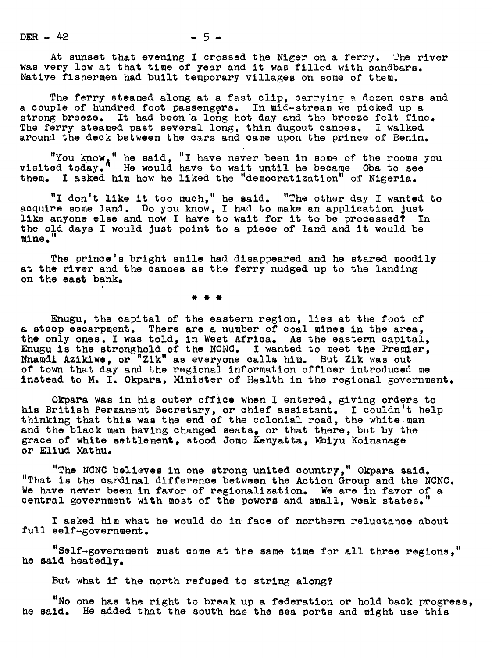DER - 42 - 5 -

At sunset that evening I crossed the Niger on a ferry. The river was very low at that time of year and it was filled with sandbars. Native fishermen had built temporary villages on some of them.

The ferry steamed along at a fast clip, carrying a dozen cars and a couple of hundred foot passengers. In mid-stream we picked up a strong breeze. It had been a long hot day and the breeze felt fine. The ferry steamed past several long, thin dugout canoes. I walked<br>around the deck between the cars and came upon the prince of Benin.

"You know," he said, "I have never been in some of the rooms you  $v$ isited today." He would have to wait until he became Oba to see them. I asked him how he liked the "democratization" of Nigeria.

"I don't like it too much, " he said. "The other day I wanted to acquire some land. Do you know, I had to make an application just like anyone else and now I have to wait for it to be processed? In the old days I would just point to a piece of land and it would be

The prince's bright smile had disappeared and he stared moodily at the river and the canoes as the ferry nudged up to the landing on the east bank.

Enugu, the capital of the eastern region, lies at the foot of a steep escarpment. There are a number of coal mines in the area, the only ones, I was told, in West Africa. As the eastern capital, Enugu is the stronghold of the NCNC. I wanted to meet the Premier, Nnamdi Azikiwe, or "Zik" as everyone calls him. But Zik was out of town that day and the regional information officer introduced me instead to M. I. Okpara, Minister of Health in the regional government.

Okpara was in his outer office when I entered, giving orders to his British Permanent Secretary, or chief assistant. I couldn't help thinking that this was the end of the colonial road, the white-man and the black man having changed seats, or that there, but by the grace of white settlement, stood Jomo Kenyatta, Mbiyu Koluauage or Eliud Mathu.

"The NCNC believes in one strong united country," Okpara said. "That is the cardinal difference between the Actiou Group and the NCNC. We have never been in favor of regionalization. We are in favor of a central government with most of the powers and small, weak states.

I asked him what he would do in face of northern reluctance about full self-government.

"Self-government must come at the same time for all three regions," he said heatedly.

But what if the north refused to string along?

"No one has the right to break up a federation or hold back progress, he said. He added that the south has the sea ports and might use this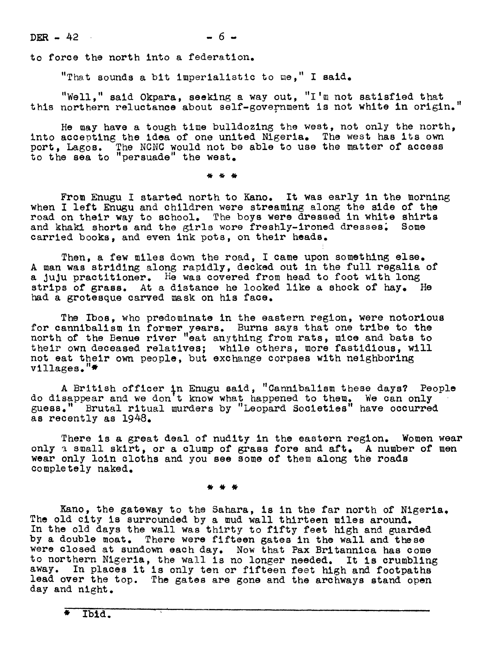$DER - 42$  6 -

to force the north into a federation.

"That sounds a bit imperialistic to me," I said.

"Well," said Okpara, seeking a way out, "I'm not satisfied that this northern reluctance about self-government is not white in origin."

He may have a tough time bulldozing the west, not only the north, into accepting the idea of one united Nigeria. The west has its own port, Lagos. The NCNC would not be able to use the matter of access o the sea to "persuade" the west.

From Enugu I started north to Kano. It was early in the morning when I left Enugu and children were streaming along the side of the road on their way to school. The boys were dressed in white shirts and khaki shorts and the girls wore freshly-ironed dresses. Some carried books, and even ink pots, on their heads.

Then, a few miles down the road, I came upon something else. A man was striding along rapidly, decked out in the full regalia of a juju practitioner. He was covered from head to foot with long strips of grass. At a distance he looked like a shock of hay. He bad a grotesque carved mask on his face.

The Ibos, who predominate in the eastern region, were notorious for cannibalism in former years. Burns says that one tribe to the north of the Benue river "eat anything from rats, mice and bats to their own deceased relatives; while others, more fastidious, will not eat their own people, but exchange corpses with ueighboring villages."\*

A British officer in Enugu said, "Cannibalism these days? People<br>do disappear and we don't know what happened to them. We can only guess." Brutal ritual murders by "Leopard Societies" have occurred as recently as 1948.

There is a great deal of nudity in the eastern region. Women wear only a small skirt, or a clump of grass fore and aft. A number of men wear only loin cloths and you see some of them along the roads completely naked.

Kano, the gateway to the Sahara, is in the far north of Nigeria. The old city is surrounded by a mud wall thirteen miles around. Ine old city is surrounded by a mud wall thirteen miles around.<br>In the old days the wall was thirty to fifty feet high and guarded by a double moat. There were fifteen gates in the wall and these were closed at sundown each day. Now that Pax Britannica has come to northern Nigeria, the wall is no longer needed. It is crumbling away. In places it is only ten or fifteen feet high and footpaths lead over the top. The gates are gone and the archways stand open day and night.

\* ibld.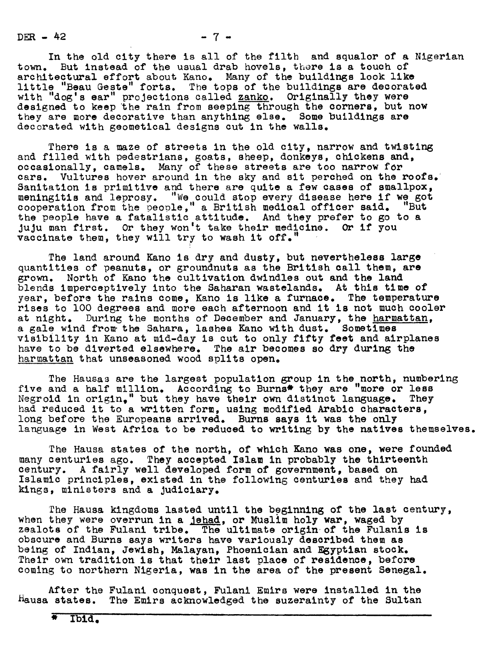$DEFR - 42$ 

 $-7 -$ 

In the old city there is all of the filth and squalor of a Nigerian town. But instead of the usual drab hovels, there is a touch of architectural effort about Kano. Many of the buildings look like little "Beau Geste" forts. The tops of the buildings are decorated with "dog's ear" projections called zanko. Originally they were designed to keep the rain from seeping through the corners, but now they are more decorative than anything else. Some buildings are decorated with geometical designs cut in the walls.

There is a maze of streets in the old city, narrow and twisting and filled with pedestrians, goats, sheep, donkeys, chickens and, occasionally, camels. Many of these streets are too narrow for cars. Vultures hover around in the sky and sit perched on the roofs. Sanitation is primitive and there are quite a few cases of smallpox, meningitis and leprosy. "We could stop every disease here if we got cooperation from the peoole," a British medical officer said. "But the people have a fatalistic attitude. And they prefer to go to a JuJu man first. Or they won't take their medicine. Or if you vaccinate them, they will try to wash it off."

The land around Kano is dry and dusty, but nevertheless large quantities of peanuts, or groundnuts as the British call them, are grown. North of Kano the cultivation dwindles out and the land blends imperceptively into the Saharan wastelands. At this time of year, before the rains come, Kano is like a furnace. The temperature rises to 100 degrees and more each afternoon and it is not much cooler at night. During the months of December and January, the harmattan, a gale wind from. the Sahara, lashes Kano with dust. Sometimes visibility in Kano at mid-day is cut to only fifty feet and airplanes have to be diverted elsewhere. The air becomes so dry during the harmattan that unseasoned wood splits open.

The Hausas are the largest population group in the north, numbering five and a half million. According to Burns\* they are "more or less Negroid in origin." but they have their own distinct language. They Negroid in  $origin, "$  but they have their own distinct language. They had reduced it to a written form, using modified Arabic characters, long before the Europeans arrived. Burns says it was the only language in West Africa to be reduced to writing by the natives themselves.

The Hausa states of the north, of which Kano was one, were founded many centuries ago. They accepted Islam in probably the thirteenth century. A fairly well developed form of government, based on Islamic principles, existed in the following centuries and they had kings, ministers and a Judiciary.

The Hausa kingdoms lasted until the beginning of the last century, when they were overrun in a jehad, or Muslim holy war, waged by zealots of the Fulani tribe. The ultimate origin of the Fulanis is obscure and Burns says writers have variously described them as being of Indian, Jewish, Malayan, Phoenician and Egyptian stock. Their own tradition is that their last place of residence, before coming to northern Nigeria, was in the area of the present Senegal.

After the Fulani conquest, Fulani Emirs were installed in the Hausa states. The Emirs acknowledged the suzerainty of the Sultan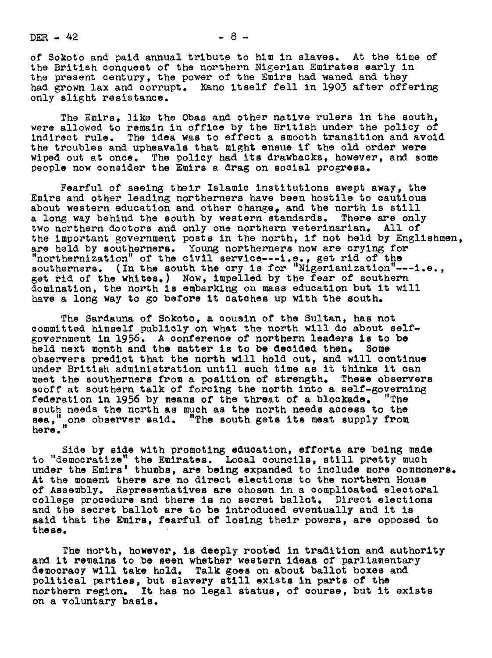$DER - 42$   $- 8 -$ 

of Sokoto and paid annual tribute to him in slaves. At the time of the British conquest of the northern Nigerian Emirates early in the present century, the power of the Emirs had waned and they had grown lax and corrupt. Kano itself fell in 1903 after offering only slight resistance.

The Emirs, like the Obas and other native rulers in the south, were allowed to remain in office by the British under the policy of indirect rule. The idea was to effect a smooth transition and avoid the troubles and upheavals that might ensue if the old order were wiped out at once. The policy had its drawbacks, however, and some people now consider the Emirs a drag on social progress.

Fearful of seeing their Islamic institutions swept away, the Emirs and other leading northerners have been hostile to cautious about western education and other change, and the north is still a long way behind the south by western standards. There are only two northern doctors and only one northern veterinarian. All of the important government posts in the north, if not held by Englishmen, are held by southerners. Young northerners now are crying for "northernization" of the civil service---i.e., get rid of the southerners. (In the south the cry is for "Nigerianization"---i.e., get rid of the whites.) Now, impelled by the fear of southern domination, the north is embarking on mass education but it will have a long way to go before it catches up with the south.

The Sardauna of Sokoto, a cousin of the Sultan, has not committed himself publicly on what the north will do about selfgovernment in 1956. A conference of northern leaders is to be held next month and the matter is to be decided then. Some held next month and the matter is to be decided then. observers predict that the north will hold out, and will continue under British administration until such time as it thinks it can meet the southerners from a position of strength. These observers scoff at southern talk of forcing the north into a self-governing federation in 1956 by means of the threat of a blockade. "The federation in 1956 by means of the threat of a blockade. south needs the north as much as the north needs access to the II II II THE CONFIDENT OF THE COULD THE THE COULD ACTED THE SOLE here."

Side by side with promoting education, efforts are being made to "democratize" the Emirates. Local councils, still pretty much under the Emirs' thumbs, are being expanded to include more commoners. At the moment there are no direct elections to the northern House of Assembly. Representatives are chosen in a complicated electoral college procedure and there is no secret ballot. Direct elections and the secret ballot are to be introduced eventually and it is said that the Emirs, fearful of losing their powers, are opposed to these.

The north, however, is deeply rooted in tradition and authority and it remains to be seen whether western ideas of parliamentary democracy will take hold. Talk goes on about ballot boxes and political parties, but slavery still exists in parts of the northern region. It has no legal statue, of course, but it exists on a voluntary basis.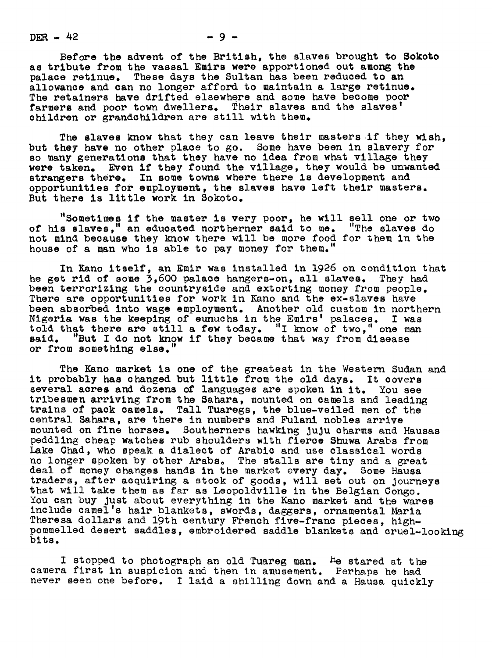$DEFR - 42$ 

Before the advent of the British, the slaves brought to Sokoto as tribute from the vassal Emirs were apportioned out among the palace retinue. These days the Sultan has been reduced to an allowance and can no longer afford to maintain a large retinue. The retainers have drifted elsewhere and some have become poor farmers and poor town dwellers. Their slaves and the slaves' children or grandchildren are still with them.

The slaves know that they can leave their masters if they wish. but they have no other place to go. Some have been in slavery for so many generations that they have no idea from what village they were taken. Even if they found the village, they would be unwanted strangers there. In some towns where there is development and opportunities for employment, the slaves have left their masters. But there is little work in Sokoto.

"Sometimes if the master is very poor, he will sell one or two of his slaves," an educated northerner said to me. "The slaves do not mind because they know there will be more food for them in the house of a man who is able to pay money for them.

In Kano itself, an Emir was installed in 1926 on condition that<br>t rid of some 3.600 palace hangers-on. all slaves. They had he get rid of some  $3,600$  palace hangers-on, all slaves. been terrorizing the countryside and extorting money from people. There are opportunities for work in Kano and the ex-slaves have been absorbed into wage employment. Another old custom in northern Nigeria was the keeping of euuchs in the Emirs' palaces. <sup>I</sup> was told that there are still a few today. "I know of two," one man said. "But I do not know if they became that way from disease "But I do not know if they became that way from disease or from something else.

The Kano market is one of the greatest in the Western Sudan and<br>obably has changed but little from the old days. It covers it probably has changed but little from the old days. several acres and dozens of languages are spoken in it. You see tribesmen arriving from the Sahara, mounted on camels and leadin trains of pack camels. Tall Tuaregs, the blue-veiled men of the central Sahara, are there in numbers and Fulani nobles arrive mounted on fine horses. Southerners hawking JuJu charms and Hausas peddling cheap watches rub shoulders with fierce Shuwa Arabs from Lake Chad, who speak a dialect of Arabic and use classical words no longer spoken by other Arabs. The stalls are tiny and a great deal of money changes hands in the market every day. Some Hausa traders, after acquiring a stock of goods, will set out on journeys that will take them as far as Leopoldville in the Belgian Congo. You can buy just about everything in the Kano market and the wares include camel's hair blankets, swords, daggers, ornamental Maria Theresa dollars and 19th century French five-franc pieces, highpommelled desert saddles, embroidered saddle blankets and cruel-looking bits.

I stopped to photograph an old Tuareg man. He stared at the camera first in suspicion and then in amusement. Perhaps he had never seen one before. I laid a shilling down and a Hausa quickly